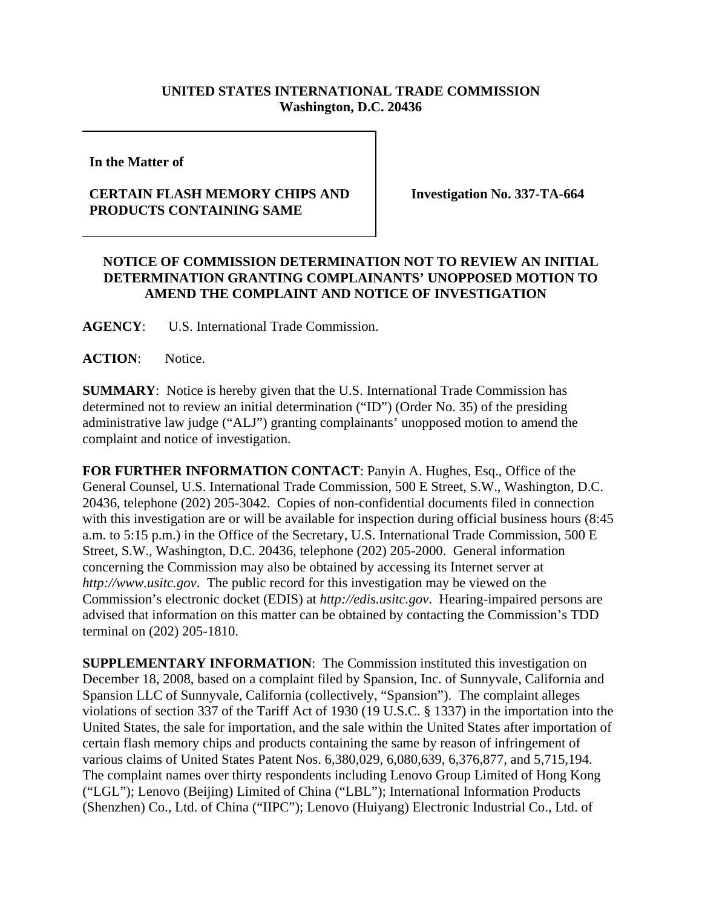## **UNITED STATES INTERNATIONAL TRADE COMMISSION Washington, D.C. 20436**

**In the Matter of** 

## **CERTAIN FLASH MEMORY CHIPS AND PRODUCTS CONTAINING SAME**

**Investigation No. 337-TA-664**

## **NOTICE OF COMMISSION DETERMINATION NOT TO REVIEW AN INITIAL DETERMINATION GRANTING COMPLAINANTS' UNOPPOSED MOTION TO AMEND THE COMPLAINT AND NOTICE OF INVESTIGATION**

**AGENCY**: U.S. International Trade Commission.

ACTION: Notice.

**SUMMARY**: Notice is hereby given that the U.S. International Trade Commission has determined not to review an initial determination ("ID") (Order No. 35) of the presiding administrative law judge ("ALJ") granting complainants' unopposed motion to amend the complaint and notice of investigation.

**FOR FURTHER INFORMATION CONTACT**: Panyin A. Hughes, Esq., Office of the General Counsel, U.S. International Trade Commission, 500 E Street, S.W., Washington, D.C. 20436, telephone (202) 205-3042. Copies of non-confidential documents filed in connection with this investigation are or will be available for inspection during official business hours (8:45 a.m. to 5:15 p.m.) in the Office of the Secretary, U.S. International Trade Commission, 500 E Street, S.W., Washington, D.C. 20436, telephone (202) 205-2000. General information concerning the Commission may also be obtained by accessing its Internet server at *http://www.usitc.gov*. The public record for this investigation may be viewed on the Commission's electronic docket (EDIS) at *http://edis.usitc.gov*. Hearing-impaired persons are advised that information on this matter can be obtained by contacting the Commission's TDD terminal on (202) 205-1810.

**SUPPLEMENTARY INFORMATION:** The Commission instituted this investigation on December 18, 2008, based on a complaint filed by Spansion, Inc. of Sunnyvale, California and Spansion LLC of Sunnyvale, California (collectively, "Spansion"). The complaint alleges violations of section 337 of the Tariff Act of 1930 (19 U.S.C. § 1337) in the importation into the United States, the sale for importation, and the sale within the United States after importation of certain flash memory chips and products containing the same by reason of infringement of various claims of United States Patent Nos. 6,380,029, 6,080,639, 6,376,877, and 5,715,194. The complaint names over thirty respondents including Lenovo Group Limited of Hong Kong ("LGL"); Lenovo (Beijing) Limited of China ("LBL"); International Information Products (Shenzhen) Co., Ltd. of China ("IIPC"); Lenovo (Huiyang) Electronic Industrial Co., Ltd. of